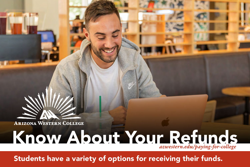

**ARIZONA WESTERN COLLEGE** 

## Know About Your Refunds *azwestern.edu/paying-for-college*

Students have a variety of options for receiving their funds.